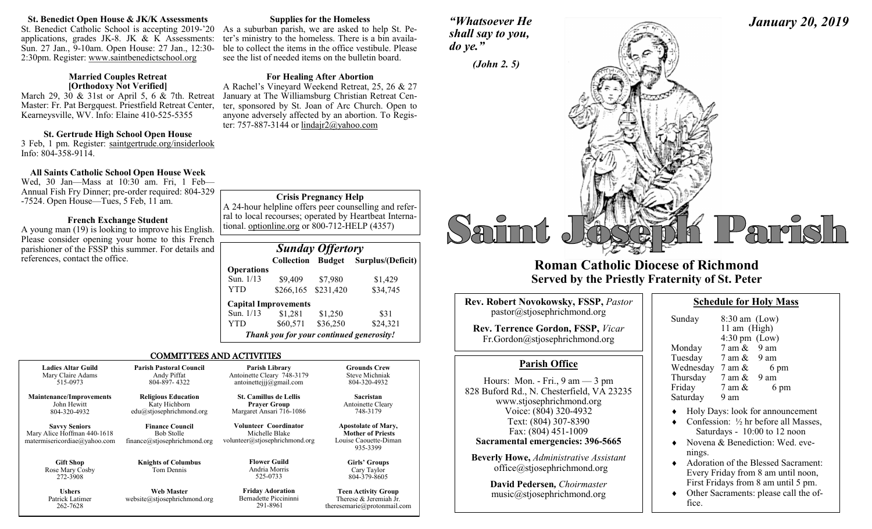#### **St. Benedict Open House & JK/K Assessments**

St. Benedict Catholic School is accepting 2019-'20 As a suburban parish, we are asked to help St. Peapplications, grades JK-8. JK  $& K$  Assessments: Sun. 27 Jan., 9-10am. Open House: 27 Jan., 12:30- 2:30pm. Register: www.saintbenedictschool.org

#### **Married Couples Retreat [Orthodoxy Not Verified]**

March 29, 30 & 31st or April 5, 6 & 7th. Retreat Master: Fr. Pat Bergquest. Priestfield Retreat Center, Kearneysville, WV. Info: Elaine 410-525-5355

### **St. Gertrude High School Open House**

3 Feb, 1 pm. Register: saintgertrude.org/insiderlook Info: 804-358-9114.

# **All Saints Catholic School Open House Week**

Wed, 30 Jan—Mass at 10:30 am. Fri, 1 Feb— Annual Fish Fry Dinner; pre-order required: 804-329 -7524. Open House—Tues, 5 Feb, 11 am.

### **French Exchange Student**

A young man (19) is looking to improve his English. Please consider opening your home to this French parishioner of the FSSP this summer. For details and references, contact the office.

262-7628

#### **Supplies for the Homeless**

ter's ministry to the homeless. There is a bin available to collect the items in the office vestibule. Please see the list of needed items on the bulletin board.

## **For Healing After Abortion**

A Rachel's Vineyard Weekend Retreat, 25, 26 & 27 January at The Williamsburg Christian Retreat Center, sponsored by St. Joan of Arc Church. Open to anyone adversely affected by an abortion. To Register: 757-887-3144 or lindair $2@$ vahoo.com

# **Crisis Pregnancy Help**

A 24-hour helpline offers peer counselling and referral to local recourses; operated by Heartbeat International. optionline.org or 800-712-HELP (4357)

| <b>Sunday Offertory</b> |                                          |           |                                 |  |  |
|-------------------------|------------------------------------------|-----------|---------------------------------|--|--|
|                         | <b>Collection</b>                        |           | <b>Budget</b> Surplus/(Deficit) |  |  |
| <b>Operations</b>       |                                          |           |                                 |  |  |
| Sun. 1/13               | \$9,409                                  | \$7,980   | \$1,429                         |  |  |
| YTD                     | \$266,165                                | \$231,420 | \$34,745                        |  |  |
|                         | <b>Capital Improvements</b>              |           |                                 |  |  |
| Sun. 1/13               | \$1,281                                  | \$1,250   | \$31                            |  |  |
| YTD                     | \$60,571                                 | \$36,250  | \$24,321                        |  |  |
|                         | Thank you for your continued generosity! |           |                                 |  |  |

iman

theresemarie@protonmail.com

### COMMITTEES AND ACTIVITIES

| <b>Ladies Altar Guild</b>                                                           | <b>Parish Pastoral Council</b>                                              | Parish Library                                                            | <b>Grounds Crew</b>                                                                         |
|-------------------------------------------------------------------------------------|-----------------------------------------------------------------------------|---------------------------------------------------------------------------|---------------------------------------------------------------------------------------------|
| Mary Claire Adams                                                                   | Andy Piffat                                                                 | Antoinette Cleary 748-3179                                                | <b>Steve Michniak</b>                                                                       |
| 515-0973                                                                            | 804-897-4322                                                                | antoinetteijj@gmail.com                                                   | 804-320-4932                                                                                |
| <b>Maintenance/Improvements</b>                                                     | <b>Religious Education</b>                                                  | <b>St. Camillus de Lellis</b>                                             | Sacristan                                                                                   |
| John Hewitt                                                                         | Katy Hichborn                                                               | <b>Prayer Group</b>                                                       | Antoinette Cleary                                                                           |
| 804-320-4932                                                                        | edu@stjosephrichmond.org                                                    | Margaret Ansari 716-1086                                                  | 748-3179                                                                                    |
| <b>Savvy Seniors</b><br>Mary Alice Hoffman 440-1618<br>matermisericordiae@yahoo.com | <b>Finance Council</b><br><b>Bob Stolle</b><br>finance@stjosephrichmond.org | Volunteer Coordinator<br>Michelle Blake<br>volunteer@stjosephrichmond.org | <b>Apostolate of Mary,</b><br><b>Mother of Priests</b><br>Louise Caouette-Diman<br>935-3399 |
| <b>Gift Shop</b><br>Rose Mary Cosby<br>272-3908                                     | <b>Knights of Columbus</b><br>Tom Dennis                                    | <b>Flower Guild</b><br>Andria Morris<br>525-0733                          | Girls' Groups<br>Cary Taylor<br>804-379-8605                                                |
| <b>Ushers</b>                                                                       | <b>Web Master</b>                                                           | <b>Friday Adoration</b>                                                   | <b>Teen Activity Group</b>                                                                  |
| Patrick Latimer                                                                     | website@stjosephrichmond.org                                                | Bernadette Piccininni                                                     | Therese & Jeremiah Jr.                                                                      |

291-8961

# *"Whatsoever He shall say to you, do ye."*



# **Roman Catholic Diocese of Richmond Served by the Priestly Fraternity of St. Peter**

| Rev. Robert Novokowsky, FSSP, Pastor             |
|--------------------------------------------------|
| pastor@stjosephrichmond.org                      |
| $\mathbf{n}$ . T. $\mathbf{C}$ . . 1. EGGD $U^*$ |

**Rev. Terrence Gordon, FSSP,** *Vicar* Fr.Gordon@stjosephrichmond.org

# **Parish Office**

Hours: Mon. - Fri., 9 am — 3 pm 828 Buford Rd., N. Chesterfield, VA 23235 www.stjosephrichmond.org Voice: (804) 320-4932 Text: (804) 307-8390 Fax: (804) 451-1009 **Sacramental emergencies: 396-5665**

**Beverly Howe,** *Administrative Assistant* office@stjosephrichmond.org

> **David Pedersen***, Choirmaster* music@stjosephrichmond.org

| <b>Schedule for Holy Mass</b> |
|-------------------------------|
|-------------------------------|

*January 20, 2019*

| Sunday    | $8:30$ am (Low)<br>11 am (High)<br>$4:30 \text{ pm}$ (Low) |  |
|-----------|------------------------------------------------------------|--|
| Monday    | $7$ am $\&$ 9 am                                           |  |
| Tuesday   | 9 am<br>7 am $\&$                                          |  |
| Wednesday | 6 pm<br>7 am &                                             |  |
| Thursday  | 9 am<br>7 am &                                             |  |
| Friday    | 6 pm<br>7 am &                                             |  |
| Saturday  | 9 am                                                       |  |

- Holy Days: look for announcement
- $\bullet$  Confession:  $\frac{1}{2}$  hr before all Masses. Saturdays - 10:00 to 12 noon
- Novena & Benediction: Wed. evenings.
- ◆ Adoration of the Blessed Sacrament: Every Friday from 8 am until noon, First Fridays from 8 am until 5 pm.
- Other Sacraments: please call the office.